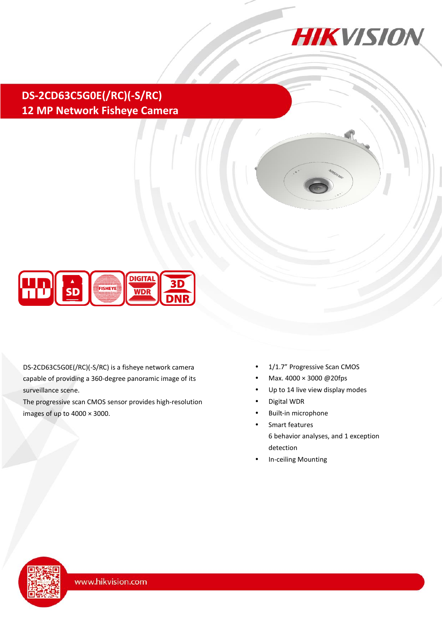

# **DS-2CD63C5G0E(/RC)(-S/RC) 12 MP Network Fisheye Camera**



DS-2CD63C5G0E(/RC)(-S/RC) is a fisheye network camera capable of providing a 360-degree panoramic image of its surveillance scene.

The progressive scan CMOS sensor provides high-resolution images of up to 4000 × 3000.

- 1/1.7" Progressive Scan CMOS
- Max.  $4000 \times 3000 \ @ 20fps$
- Up to 14 live view display modes
- Digital WDR
- Built-in microphone
- Smart features 6 behavior analyses, and 1 exception detection
- In-ceiling Mounting

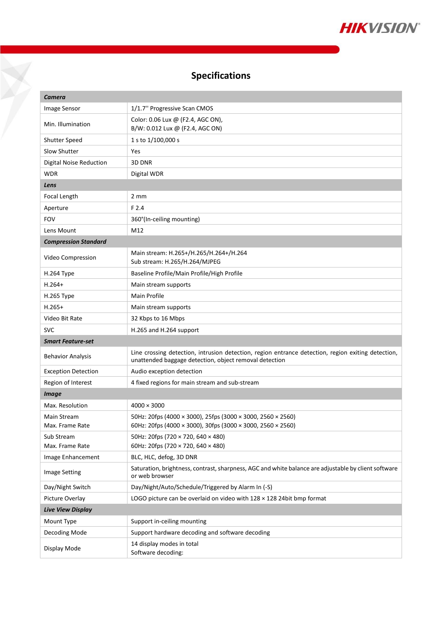

## **Specifications**

X

| Camera                         |                                                                                                                                                              |  |  |  |  |
|--------------------------------|--------------------------------------------------------------------------------------------------------------------------------------------------------------|--|--|--|--|
| Image Sensor                   | 1/1.7" Progressive Scan CMOS                                                                                                                                 |  |  |  |  |
| Min. Illumination              | Color: 0.06 Lux @ (F2.4, AGC ON),<br>B/W: 0.012 Lux @ (F2.4, AGC ON)                                                                                         |  |  |  |  |
| <b>Shutter Speed</b>           | 1 s to 1/100,000 s                                                                                                                                           |  |  |  |  |
| <b>Slow Shutter</b>            | Yes                                                                                                                                                          |  |  |  |  |
| Digital Noise Reduction        | 3D DNR                                                                                                                                                       |  |  |  |  |
| WDR                            | Digital WDR                                                                                                                                                  |  |  |  |  |
| Lens                           |                                                                                                                                                              |  |  |  |  |
| Focal Length                   | $2 \text{ mm}$                                                                                                                                               |  |  |  |  |
| Aperture                       | F 2.4                                                                                                                                                        |  |  |  |  |
| <b>FOV</b>                     | 360°(In-ceiling mounting)                                                                                                                                    |  |  |  |  |
| Lens Mount                     | M12                                                                                                                                                          |  |  |  |  |
| <b>Compression Standard</b>    |                                                                                                                                                              |  |  |  |  |
| Video Compression              | Main stream: H.265+/H.265/H.264+/H.264<br>Sub stream: H.265/H.264/MJPEG                                                                                      |  |  |  |  |
| H.264 Type                     | Baseline Profile/Main Profile/High Profile                                                                                                                   |  |  |  |  |
| $H.264+$                       | Main stream supports                                                                                                                                         |  |  |  |  |
| H.265 Type                     | <b>Main Profile</b>                                                                                                                                          |  |  |  |  |
| $H.265+$                       | Main stream supports                                                                                                                                         |  |  |  |  |
| Video Bit Rate                 | 32 Kbps to 16 Mbps                                                                                                                                           |  |  |  |  |
| <b>SVC</b>                     | H.265 and H.264 support                                                                                                                                      |  |  |  |  |
| Smart Feature-set              |                                                                                                                                                              |  |  |  |  |
| <b>Behavior Analysis</b>       | Line crossing detection, intrusion detection, region entrance detection, region exiting detection,<br>unattended baggage detection, object removal detection |  |  |  |  |
| <b>Exception Detection</b>     | Audio exception detection                                                                                                                                    |  |  |  |  |
| Region of Interest             | 4 fixed regions for main stream and sub-stream                                                                                                               |  |  |  |  |
| <b>Image</b>                   |                                                                                                                                                              |  |  |  |  |
| Max. Resolution                | $4000 \times 3000$                                                                                                                                           |  |  |  |  |
| Main Stream<br>Max. Frame Rate | 50Hz: 20fps (4000 × 3000), 25fps (3000 × 3000, 2560 × 2560)<br>60Hz: 20fps (4000 × 3000), 30fps (3000 × 3000, 2560 × 2560)                                   |  |  |  |  |
| Sub Stream                     | 50Hz: 20fps (720 × 720, 640 × 480)                                                                                                                           |  |  |  |  |
| Max. Frame Rate                | 60Hz: 20fps (720 × 720, 640 × 480)                                                                                                                           |  |  |  |  |
| Image Enhancement              | BLC, HLC, defog, 3D DNR                                                                                                                                      |  |  |  |  |
| <b>Image Setting</b>           | Saturation, brightness, contrast, sharpness, AGC and white balance are adjustable by client software<br>or web browser                                       |  |  |  |  |
| Day/Night Switch               | Day/Night/Auto/Schedule/Triggered by Alarm In (-S)                                                                                                           |  |  |  |  |
| Picture Overlay                | LOGO picture can be overlaid on video with 128 x 128 24bit bmp format                                                                                        |  |  |  |  |
| <b>Live View Display</b>       |                                                                                                                                                              |  |  |  |  |
| Mount Type                     | Support in-ceiling mounting                                                                                                                                  |  |  |  |  |
| Decoding Mode                  | Support hardware decoding and software decoding                                                                                                              |  |  |  |  |
| Display Mode                   | 14 display modes in total<br>Software decoding:                                                                                                              |  |  |  |  |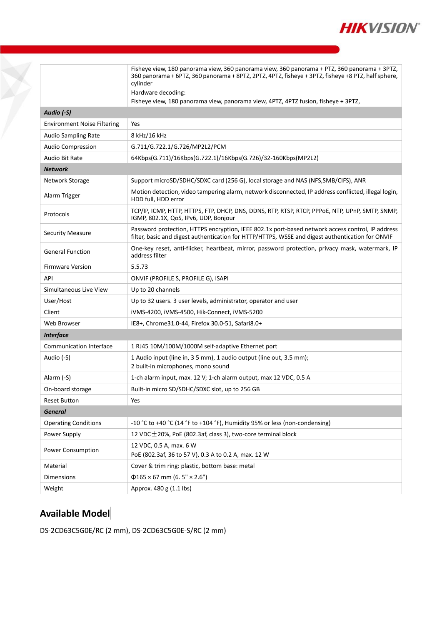

|                                    | Fisheye view, 180 panorama view, 360 panorama view, 360 panorama + PTZ, 360 panorama + 3PTZ,<br>360 panorama + 6PTZ, 360 panorama + 8PTZ, 2PTZ, 4PTZ, fisheye + 3PTZ, fisheye +8 PTZ, half sphere,   |  |  |  |  |
|------------------------------------|------------------------------------------------------------------------------------------------------------------------------------------------------------------------------------------------------|--|--|--|--|
|                                    | cylinder                                                                                                                                                                                             |  |  |  |  |
|                                    | Hardware decoding:                                                                                                                                                                                   |  |  |  |  |
|                                    | Fisheye view, 180 panorama view, panorama view, 4PTZ, 4PTZ fusion, fisheye + 3PTZ,                                                                                                                   |  |  |  |  |
| Audio (-S)                         |                                                                                                                                                                                                      |  |  |  |  |
| <b>Environment Noise Filtering</b> | Yes                                                                                                                                                                                                  |  |  |  |  |
| <b>Audio Sampling Rate</b>         | 8 kHz/16 kHz                                                                                                                                                                                         |  |  |  |  |
| <b>Audio Compression</b>           | G.711/G.722.1/G.726/MP2L2/PCM                                                                                                                                                                        |  |  |  |  |
| Audio Bit Rate                     | 64Kbps(G.711)/16Kbps(G.722.1)/16Kbps(G.726)/32-160Kbps(MP2L2)                                                                                                                                        |  |  |  |  |
| <b>Network</b>                     |                                                                                                                                                                                                      |  |  |  |  |
| Network Storage                    | Support microSD/SDHC/SDXC card (256 G), local storage and NAS (NFS, SMB/CIFS), ANR                                                                                                                   |  |  |  |  |
| Alarm Trigger                      | Motion detection, video tampering alarm, network disconnected, IP address conflicted, illegal login,<br>HDD full, HDD error                                                                          |  |  |  |  |
| Protocols                          | TCP/IP, ICMP, HTTP, HTTPS, FTP, DHCP, DNS, DDNS, RTP, RTSP, RTCP, PPPOE, NTP, UPnP, SMTP, SNMP,<br>IGMP, 802.1X, QoS, IPv6, UDP, Bonjour                                                             |  |  |  |  |
| <b>Security Measure</b>            | Password protection, HTTPS encryption, IEEE 802.1x port-based network access control, IP address<br>filter, basic and digest authentication for HTTP/HTTPS, WSSE and digest authentication for ONVIF |  |  |  |  |
| <b>General Function</b>            | One-key reset, anti-flicker, heartbeat, mirror, password protection, privacy mask, watermark, IP<br>address filter                                                                                   |  |  |  |  |
| <b>Firmware Version</b>            | 5.5.73                                                                                                                                                                                               |  |  |  |  |
| API                                | ONVIF (PROFILE S, PROFILE G), ISAPI                                                                                                                                                                  |  |  |  |  |
| Simultaneous Live View             | Up to 20 channels                                                                                                                                                                                    |  |  |  |  |
| User/Host                          | Up to 32 users. 3 user levels, administrator, operator and user                                                                                                                                      |  |  |  |  |
| Client                             | iVMS-4200, iVMS-4500, Hik-Connect, iVMS-5200                                                                                                                                                         |  |  |  |  |
| Web Browser                        | IE8+, Chrome31.0-44, Firefox 30.0-51, Safari8.0+                                                                                                                                                     |  |  |  |  |
| <b>Interface</b>                   |                                                                                                                                                                                                      |  |  |  |  |
| <b>Communication Interface</b>     | 1 RJ45 10M/100M/1000M self-adaptive Ethernet port                                                                                                                                                    |  |  |  |  |
| Audio (-S)                         | 1 Audio input (line in, 3 5 mm), 1 audio output (line out, 3.5 mm);<br>2 built-in microphones, mono sound                                                                                            |  |  |  |  |
| Alarm (-S)                         | 1-ch alarm input, max. 12 V; 1-ch alarm output, max 12 VDC, 0.5 A                                                                                                                                    |  |  |  |  |
| On-board storage                   | Built-in micro SD/SDHC/SDXC slot, up to 256 GB                                                                                                                                                       |  |  |  |  |
| Reset Button                       | Yes                                                                                                                                                                                                  |  |  |  |  |
| <b>General</b>                     |                                                                                                                                                                                                      |  |  |  |  |
| <b>Operating Conditions</b>        | -10 °C to +40 °C (14 °F to +104 °F), Humidity 95% or less (non-condensing)                                                                                                                           |  |  |  |  |
| Power Supply                       | 12 VDC $\pm$ 20%, PoE (802.3af, class 3), two-core terminal block                                                                                                                                    |  |  |  |  |
| <b>Power Consumption</b>           | 12 VDC, 0.5 A, max. 6 W<br>PoE (802.3af, 36 to 57 V), 0.3 A to 0.2 A, max. 12 W                                                                                                                      |  |  |  |  |
| Material                           | Cover & trim ring: plastic, bottom base: metal                                                                                                                                                       |  |  |  |  |
| Dimensions                         | $\Phi$ 165 × 67 mm (6. 5" × 2.6")                                                                                                                                                                    |  |  |  |  |
| Weight                             | Approx. 480 g (1.1 lbs)                                                                                                                                                                              |  |  |  |  |

## **Available Model**

DS-2CD63C5G0E/RC (2 mm), DS-2CD63C5G0E-S/RC (2 mm)